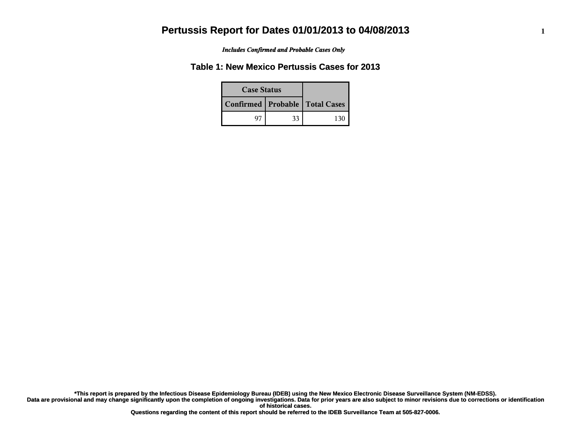*Includes Confirmed and Probable Cases Only*

## **Table 1: New Mexico Pertussis Cases for 2013**

| <b>Case Status</b> |    |                                    |
|--------------------|----|------------------------------------|
|                    |    | Confirmed   Probable   Total Cases |
|                    | 33 |                                    |

**Data are provisional and may change significantly upon the completion of ongoing investigations. Data for prior years are also subject to minor revisions due to corrections or identification of historical cases. \*This report is prepared by the Infectious Disease Epidemiology Bureau (IDEB) using the New Mexico Electronic Disease Surveillance System (NM-EDSS).**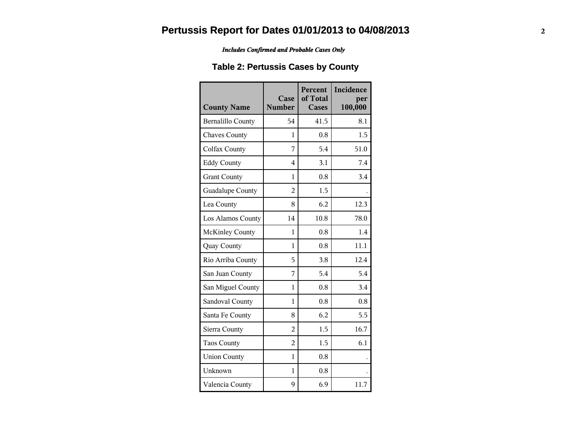*Includes Confirmed and Probable Cases Only*

## **Table 2: Pertussis Cases by County**

| <b>County Name</b>       | Case<br><b>Number</b> | Percent<br>of Total<br><b>Cases</b> | Incidence<br>per<br>100,000 |
|--------------------------|-----------------------|-------------------------------------|-----------------------------|
| <b>Bernalillo County</b> | 54                    | 41.5                                | 8.1                         |
| <b>Chaves County</b>     | 1                     | 0.8                                 | 1.5                         |
| <b>Colfax County</b>     | 7                     | 5.4                                 | 51.0                        |
| <b>Eddy County</b>       | $\overline{4}$        | 3.1                                 | 7.4                         |
| <b>Grant County</b>      | 1                     | 0.8                                 | 3.4                         |
| Guadalupe County         | $\overline{2}$        | 1.5                                 |                             |
| Lea County               | 8                     | 6.2                                 | 12.3                        |
| Los Alamos County        | 14                    | 10.8                                | 78.0                        |
| <b>McKinley County</b>   | 1                     | 0.8                                 | 1.4                         |
| Quay County              | 1                     | 0.8                                 | 11.1                        |
| Rio Arriba County        | 5                     | 3.8                                 | 12.4                        |
| San Juan County          | 7                     | 5.4                                 | 5.4                         |
| San Miguel County        | $\mathbf{1}$          | 0.8                                 | 3.4                         |
| Sandoval County          | 1                     | 0.8                                 | 0.8                         |
| Santa Fe County          | 8                     | 6.2                                 | 5.5                         |
| Sierra County            | $\overline{2}$        | 1.5                                 | 16.7                        |
| <b>Taos County</b>       | $\overline{2}$        | 1.5                                 | 6.1                         |
| <b>Union County</b>      | $\mathbf{1}$          | 0.8                                 |                             |
| Unknown                  | 1                     | 0.8                                 |                             |
| Valencia County          | 9                     | 6.9                                 | 11.7                        |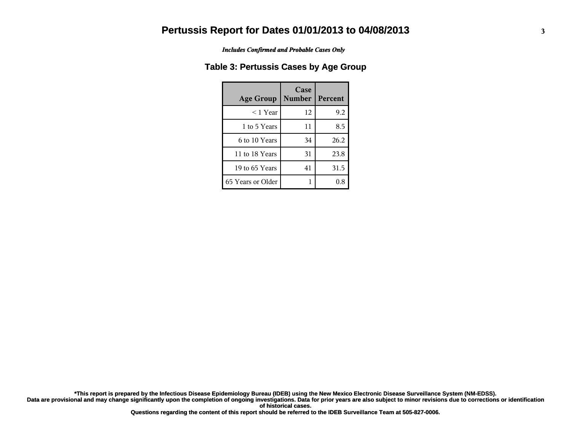*Includes Confirmed and Probable Cases Only*

### **Table 3: Pertussis Cases by Age Group**

| <b>Age Group</b>  | Case<br><b>Number</b> | <b>Percent</b> |
|-------------------|-----------------------|----------------|
| $<$ 1 Year        | 12                    | 9.2            |
| 1 to 5 Years      | 11                    | 8.5            |
| 6 to 10 Years     | 34                    | 26.2           |
| 11 to 18 Years    | 31                    | 23.8           |
| 19 to 65 Years    | 41                    | 31.5           |
| 65 Years or Older |                       | 0.8            |

**Data are provisional and may change significantly upon the completion of ongoing investigations. Data for prior years are also subject to minor revisions due to corrections or identification of historical cases. \*This report is prepared by the Infectious Disease Epidemiology Bureau (IDEB) using the New Mexico Electronic Disease Surveillance System (NM-EDSS).**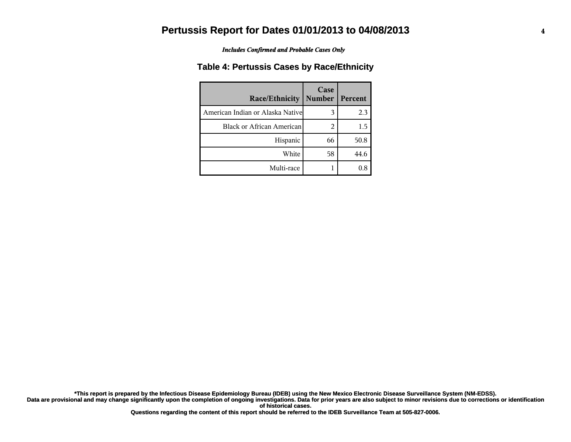*Includes Confirmed and Probable Cases Only*

### **Table 4: Pertussis Cases by Race/Ethnicity**

| Race/Ethnicity                    | Case<br><b>Number</b> | Percent |
|-----------------------------------|-----------------------|---------|
| American Indian or Alaska Nativel | 3                     | 2.3     |
| <b>Black or African American</b>  | 2                     | 1.5     |
| Hispanic                          | 66                    | 50.8    |
| White                             | 58                    | 44.6    |
| Multi-race                        |                       |         |

Data are provisional and may change significantly upon the completion of ongoing investigations. Data for prior years are also subject to minor revisions due to corrections or identification **of historical cases. \*This report is prepared by the Infectious Disease Epidemiology Bureau (IDEB) using the New Mexico Electronic Disease Surveillance System (NM-EDSS).**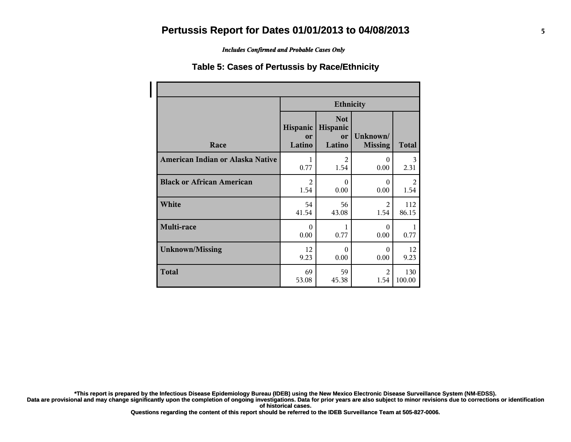*Includes Confirmed and Probable Cases Only*

#### **Table 5: Cases of Pertussis by Race/Ethnicity**

|                                  | <b>Ethnicity</b>                |                                        |                            |              |  |
|----------------------------------|---------------------------------|----------------------------------------|----------------------------|--------------|--|
| Race                             | Hispanic<br><b>or</b><br>Latino | <b>Not</b><br>Hispanic<br>or<br>Latino | Unknown/<br><b>Missing</b> | <b>Total</b> |  |
| American Indian or Alaska Native | 1                               | $\overline{2}$                         | $\Omega$                   | 3            |  |
|                                  | 0.77                            | 1.54                                   | 0.00                       | 2.31         |  |
| <b>Black or African American</b> | $\mathfrak{D}$                  | $\Omega$                               | $\Omega$                   | 2            |  |
|                                  | 1.54                            | 0.00                                   | 0.00                       | 1.54         |  |
| White                            | 54                              | 56                                     | 2                          | 112          |  |
|                                  | 41.54                           | 43.08                                  | 1.54                       | 86.15        |  |
| Multi-race                       | $\Omega$<br>0.00                | 1<br>0.77                              | $\Omega$<br>0.00           | 0.77         |  |
| <b>Unknown/Missing</b>           | 12                              | $\Omega$                               | $\Omega$                   | 12           |  |
|                                  | 9.23                            | 0.00                                   | 0.00                       | 9.23         |  |
| <b>Total</b>                     | 69                              | 59                                     | $\mathfrak{D}$             | 130          |  |
|                                  | 53.08                           | 45.38                                  | 1.54                       | 100.00       |  |

**\*This report is prepared by the Infectious Disease Epidemiology Bureau (IDEB) using the New Mexico Electronic Disease Surveillance System (NM-EDSS).**

**Data are provisional and may change significantly upon the completion of ongoing investigations. Data for prior years are also subject to minor revisions due to corrections or identification of historical cases.**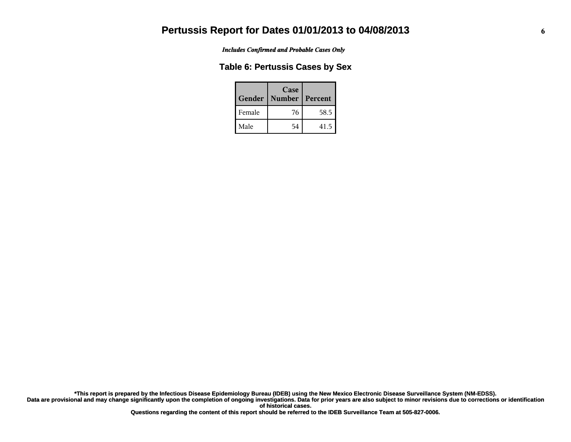*Includes Confirmed and Probable Cases Only*

#### **Table 6: Pertussis Cases by Sex**

| Gender | Case<br><b>Number</b> | Percent |
|--------|-----------------------|---------|
| Female | 76                    | 58.5    |
| Male   | 54                    | 41.5    |

**Data are provisional and may change significantly upon the completion of ongoing investigations. Data for prior years are also subject to minor revisions due to corrections or identification of historical cases. \*This report is prepared by the Infectious Disease Epidemiology Bureau (IDEB) using the New Mexico Electronic Disease Surveillance System (NM-EDSS).**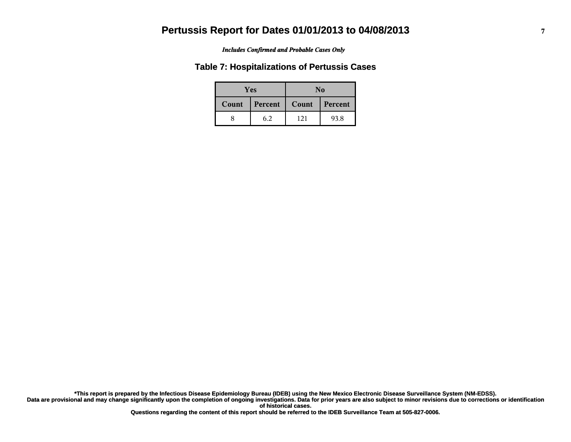#### *Includes Confirmed and Probable Cases Only*

#### **Table 7: Hospitalizations of Pertussis Cases**

| <b>Yes</b> |         | No    |           |  |
|------------|---------|-------|-----------|--|
| Count      | Percent | Count | l Percent |  |
|            | 6.2     | 121   | 93.8      |  |

**Data are provisional and may change significantly upon the completion of ongoing investigations. Data for prior years are also subject to minor revisions due to corrections or identification of historical cases. \*This report is prepared by the Infectious Disease Epidemiology Bureau (IDEB) using the New Mexico Electronic Disease Surveillance System (NM-EDSS).**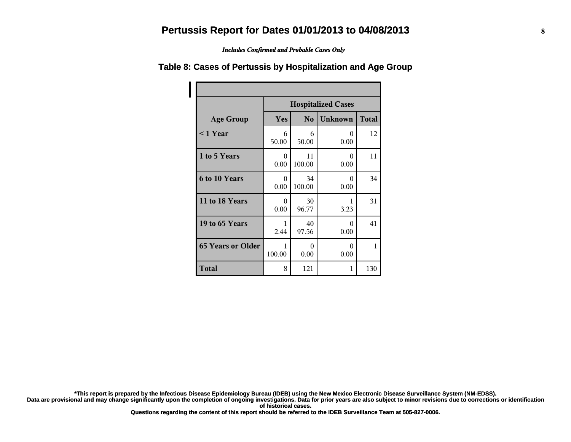*Includes Confirmed and Probable Cases Only*

|                          | <b>Hospitalized Cases</b>                               |              |                  |     |  |  |
|--------------------------|---------------------------------------------------------|--------------|------------------|-----|--|--|
| <b>Age Group</b>         | <b>Unknown</b><br><b>Total</b><br>Yes<br>N <sub>0</sub> |              |                  |     |  |  |
| $<$ 1 Year               | 6<br>50.00                                              | 6<br>50.00   | 0<br>0.00        | 12  |  |  |
| 1 to 5 Years             | $\Omega$<br>0.00                                        | 11<br>100.00 | $\Omega$<br>0.00 | 11  |  |  |
| 6 to 10 Years            | 0<br>0.00                                               | 34<br>100.00 | $\Omega$<br>0.00 | 34  |  |  |
| 11 to 18 Years           | $\Omega$<br>0.00                                        | 30<br>96.77  | 1<br>3.23        | 31  |  |  |
| 19 to 65 Years           | 1<br>2.44                                               | 40<br>97.56  | $\Omega$<br>0.00 | 41  |  |  |
| <b>65 Years or Older</b> | 1<br>100.00                                             | 0<br>0.00    | 0<br>0.00        | 1   |  |  |
| Total                    | 8                                                       | 121          | 1                | 130 |  |  |

#### **Table 8: Cases of Pertussis by Hospitalization and Age Group**

**\*This report is prepared by the Infectious Disease Epidemiology Bureau (IDEB) using the New Mexico Electronic Disease Surveillance System (NM-EDSS).**

**Data are provisional and may change significantly upon the completion of ongoing investigations. Data for prior years are also subject to minor revisions due to corrections or identification of historical cases.**